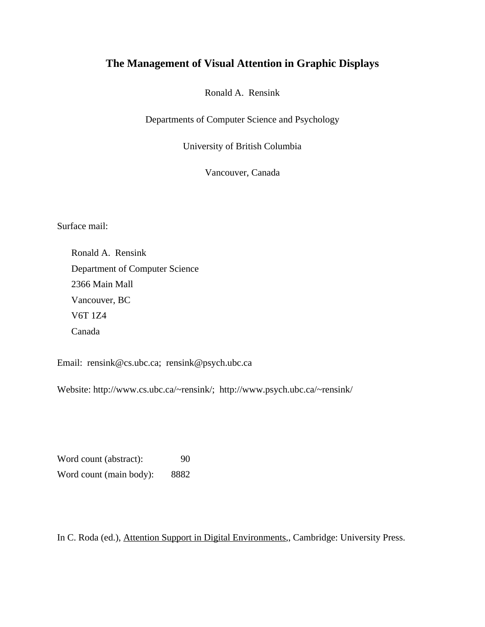# **The Management of Visual Attention in Graphic Displays**

Ronald A. Rensink

Departments of Computer Science and Psychology

University of British Columbia

Vancouver, Canada

Surface mail:

Ronald A. Rensink Department of Computer Science 2366 Main Mall Vancouver, BC V6T 1Z4 Canada

Email: rensink@cs.ubc.ca; rensink@psych.ubc.ca

Website: http://www.cs.ubc.ca/~rensink/; http://www.psych.ubc.ca/~rensink/

Word count (abstract): 90 Word count (main body): 8882

In C. Roda (ed.), Attention Support in Digital Environments,, Cambridge: University Press.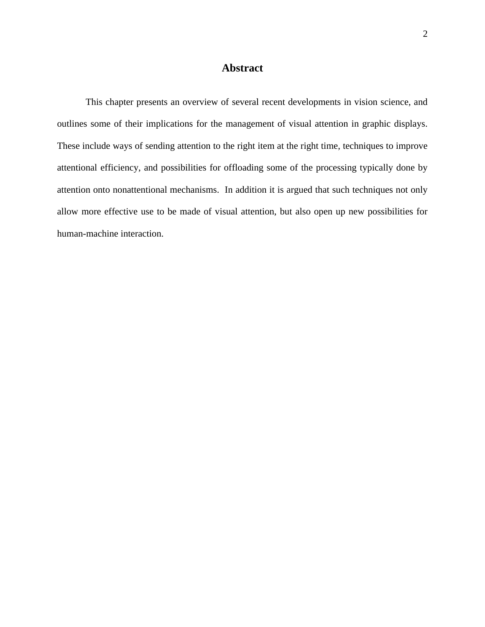## **Abstract**

This chapter presents an overview of several recent developments in vision science, and outlines some of their implications for the management of visual attention in graphic displays. These include ways of sending attention to the right item at the right time, techniques to improve attentional efficiency, and possibilities for offloading some of the processing typically done by attention onto nonattentional mechanisms. In addition it is argued that such techniques not only allow more effective use to be made of visual attention, but also open up new possibilities for human-machine interaction.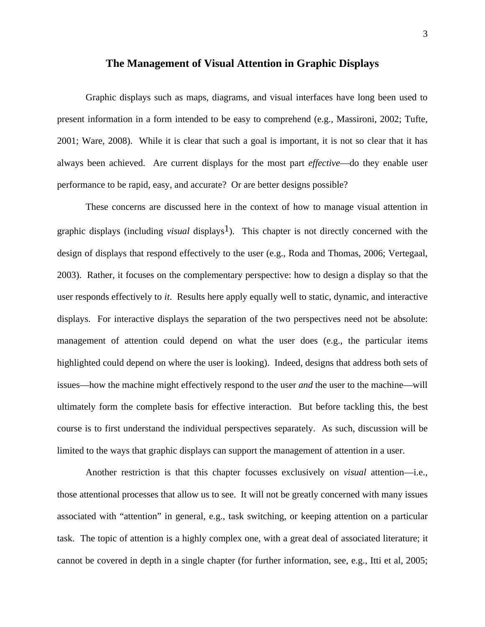## **The Management of Visual Attention in Graphic Displays**

Graphic displays such as maps, diagrams, and visual interfaces have long been used to present information in a form intended to be easy to comprehend (e.g., Massironi, 2002; Tufte, 2001; Ware, 2008). While it is clear that such a goal is important, it is not so clear that it has always been achieved. Are current displays for the most part *effective*—do they enable user performance to be rapid, easy, and accurate? Or are better designs possible?

These concerns are discussed here in the context of how to manage visual attention in graphic displays (including *visual* displays<sup>1</sup>). This chapter is not directly concerned with the design of displays that respond effectively to the user (e.g., Roda and Thomas, 2006; Vertegaal, 2003). Rather, it focuses on the complementary perspective: how to design a display so that the user responds effectively to *it*. Results here apply equally well to static, dynamic, and interactive displays. For interactive displays the separation of the two perspectives need not be absolute: management of attention could depend on what the user does (e.g., the particular items highlighted could depend on where the user is looking). Indeed, designs that address both sets of issues—how the machine might effectively respond to the user *and* the user to the machine—will ultimately form the complete basis for effective interaction. But before tackling this, the best course is to first understand the individual perspectives separately. As such, discussion will be limited to the ways that graphic displays can support the management of attention in a user.

Another restriction is that this chapter focusses exclusively on *visual* attention—i.e., those attentional processes that allow us to see. It will not be greatly concerned with many issues associated with "attention" in general, e.g., task switching, or keeping attention on a particular task. The topic of attention is a highly complex one, with a great deal of associated literature; it cannot be covered in depth in a single chapter (for further information, see, e.g., Itti et al, 2005;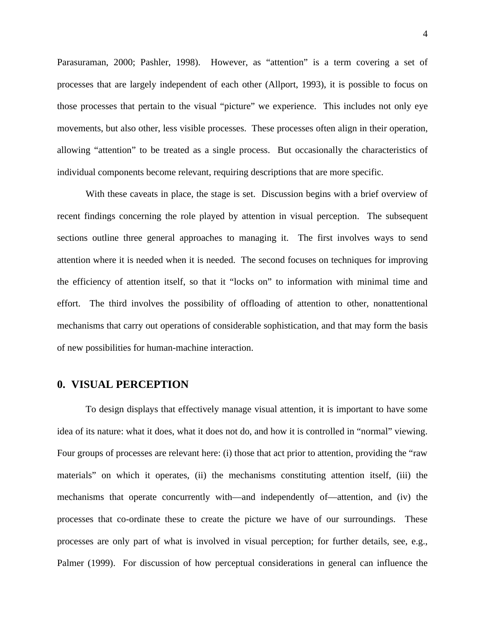Parasuraman, 2000; Pashler, 1998). However, as "attention" is a term covering a set of processes that are largely independent of each other (Allport, 1993), it is possible to focus on those processes that pertain to the visual "picture" we experience. This includes not only eye movements, but also other, less visible processes. These processes often align in their operation, allowing "attention" to be treated as a single process. But occasionally the characteristics of individual components become relevant, requiring descriptions that are more specific.

With these caveats in place, the stage is set. Discussion begins with a brief overview of recent findings concerning the role played by attention in visual perception. The subsequent sections outline three general approaches to managing it. The first involves ways to send attention where it is needed when it is needed. The second focuses on techniques for improving the efficiency of attention itself, so that it "locks on" to information with minimal time and effort. The third involves the possibility of offloading of attention to other, nonattentional mechanisms that carry out operations of considerable sophistication, and that may form the basis of new possibilities for human-machine interaction.

## **0. VISUAL PERCEPTION**

To design displays that effectively manage visual attention, it is important to have some idea of its nature: what it does, what it does not do, and how it is controlled in "normal" viewing. Four groups of processes are relevant here: (i) those that act prior to attention, providing the "raw materials" on which it operates, (ii) the mechanisms constituting attention itself, (iii) the mechanisms that operate concurrently with—and independently of—attention, and (iv) the processes that co-ordinate these to create the picture we have of our surroundings. These processes are only part of what is involved in visual perception; for further details, see, e.g., Palmer (1999). For discussion of how perceptual considerations in general can influence the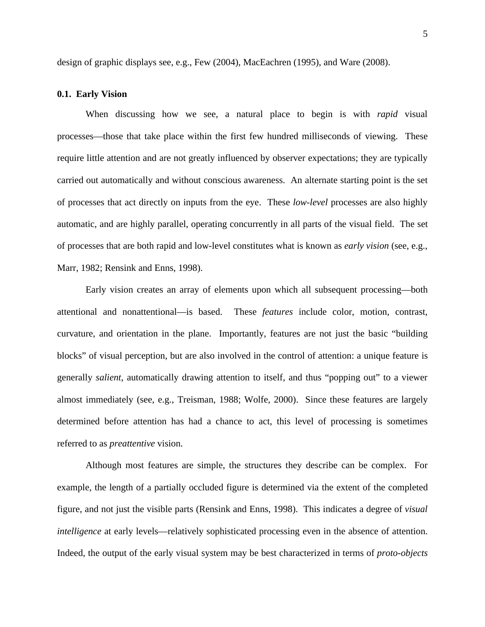design of graphic displays see, e.g., Few (2004), MacEachren (1995), and Ware (2008).

#### **0.1. Early Vision**

When discussing how we see, a natural place to begin is with *rapid* visual processes—those that take place within the first few hundred milliseconds of viewing. These require little attention and are not greatly influenced by observer expectations; they are typically carried out automatically and without conscious awareness. An alternate starting point is the set of processes that act directly on inputs from the eye. These *low-level* processes are also highly automatic, and are highly parallel, operating concurrently in all parts of the visual field. The set of processes that are both rapid and low-level constitutes what is known as *early vision* (see, e.g., Marr, 1982; Rensink and Enns, 1998).

Early vision creates an array of elements upon which all subsequent processing—both attentional and nonattentional—is based. These *features* include color, motion, contrast, curvature, and orientation in the plane. Importantly, features are not just the basic "building blocks" of visual perception, but are also involved in the control of attention: a unique feature is generally *salient*, automatically drawing attention to itself, and thus "popping out" to a viewer almost immediately (see, e.g., Treisman, 1988; Wolfe, 2000). Since these features are largely determined before attention has had a chance to act, this level of processing is sometimes referred to as *preattentive* vision.

Although most features are simple, the structures they describe can be complex. For example, the length of a partially occluded figure is determined via the extent of the completed figure, and not just the visible parts (Rensink and Enns, 1998). This indicates a degree of *visual intelligence* at early levels—relatively sophisticated processing even in the absence of attention. Indeed, the output of the early visual system may be best characterized in terms of *proto-objects*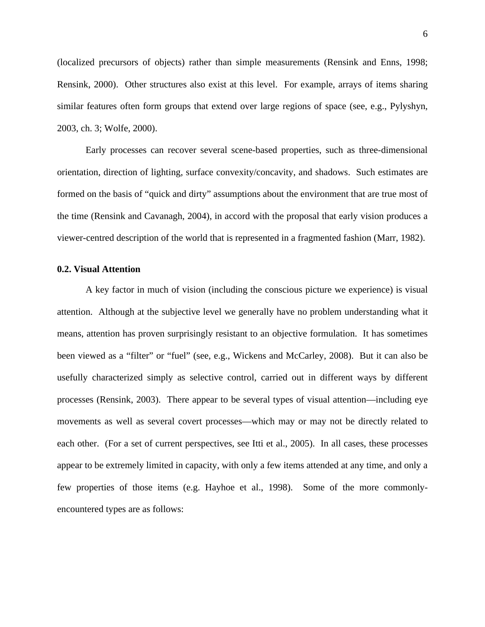(localized precursors of objects) rather than simple measurements (Rensink and Enns, 1998; Rensink, 2000). Other structures also exist at this level. For example, arrays of items sharing similar features often form groups that extend over large regions of space (see, e.g., Pylyshyn, 2003, ch. 3; Wolfe, 2000).

Early processes can recover several scene-based properties, such as three-dimensional orientation, direction of lighting, surface convexity/concavity, and shadows. Such estimates are formed on the basis of "quick and dirty" assumptions about the environment that are true most of the time (Rensink and Cavanagh, 2004), in accord with the proposal that early vision produces a viewer-centred description of the world that is represented in a fragmented fashion (Marr, 1982).

#### **0.2. Visual Attention**

A key factor in much of vision (including the conscious picture we experience) is visual attention. Although at the subjective level we generally have no problem understanding what it means, attention has proven surprisingly resistant to an objective formulation. It has sometimes been viewed as a "filter" or "fuel" (see, e.g., Wickens and McCarley, 2008). But it can also be usefully characterized simply as selective control, carried out in different ways by different processes (Rensink, 2003). There appear to be several types of visual attention—including eye movements as well as several covert processes—which may or may not be directly related to each other. (For a set of current perspectives, see Itti et al., 2005). In all cases, these processes appear to be extremely limited in capacity, with only a few items attended at any time, and only a few properties of those items (e.g. Hayhoe et al., 1998). Some of the more commonlyencountered types are as follows: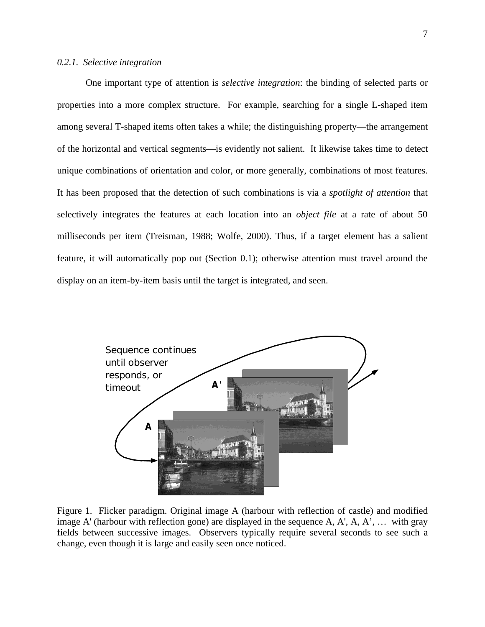#### *0.2.1. Selective integration*

One important type of attention is *selective integration*: the binding of selected parts or properties into a more complex structure. For example, searching for a single L-shaped item among several T-shaped items often takes a while; the distinguishing property—the arrangement of the horizontal and vertical segments—is evidently not salient. It likewise takes time to detect unique combinations of orientation and color, or more generally, combinations of most features. It has been proposed that the detection of such combinations is via a *spotlight of attention* that selectively integrates the features at each location into an *object file* at a rate of about 50 milliseconds per item (Treisman, 1988; Wolfe, 2000). Thus, if a target element has a salient feature, it will automatically pop out (Section 0.1); otherwise attention must travel around the display on an item-by-item basis until the target is integrated, and seen.



Figure 1. Flicker paradigm. Original image A (harbour with reflection of castle) and modified image A' (harbour with reflection gone) are displayed in the sequence A, A', A, A', ... with gray fields between successive images. Observers typically require several seconds to see such a change, even though it is large and easily seen once noticed.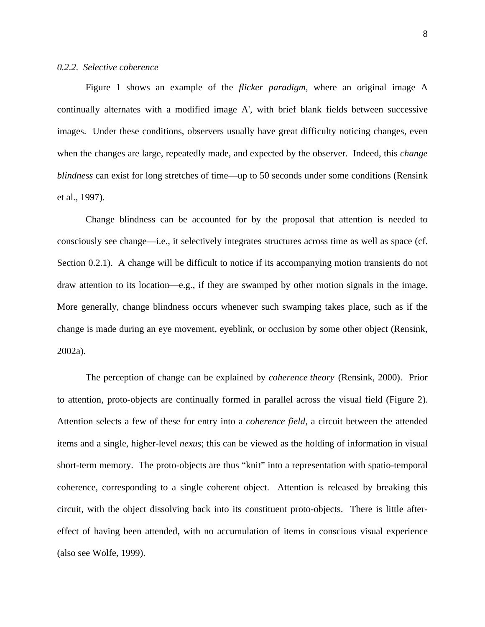#### *0.2.2. Selective coherence*

Figure 1 shows an example of the *flicker paradigm*, where an original image A continually alternates with a modified image A', with brief blank fields between successive images. Under these conditions, observers usually have great difficulty noticing changes, even when the changes are large, repeatedly made, and expected by the observer. Indeed, this *change blindness* can exist for long stretches of time—up to 50 seconds under some conditions (Rensink et al., 1997).

Change blindness can be accounted for by the proposal that attention is needed to consciously see change—i.e., it selectively integrates structures across time as well as space (cf. Section 0.2.1). A change will be difficult to notice if its accompanying motion transients do not draw attention to its location—e.g., if they are swamped by other motion signals in the image. More generally, change blindness occurs whenever such swamping takes place, such as if the change is made during an eye movement, eyeblink, or occlusion by some other object (Rensink, 2002a).

The perception of change can be explained by *coherence theory* (Rensink, 2000). Prior to attention, proto-objects are continually formed in parallel across the visual field (Figure 2). Attention selects a few of these for entry into a *coherence field*, a circuit between the attended items and a single, higher-level *nexus*; this can be viewed as the holding of information in visual short-term memory. The proto-objects are thus "knit" into a representation with spatio-temporal coherence, corresponding to a single coherent object. Attention is released by breaking this circuit, with the object dissolving back into its constituent proto-objects. There is little aftereffect of having been attended, with no accumulation of items in conscious visual experience (also see Wolfe, 1999).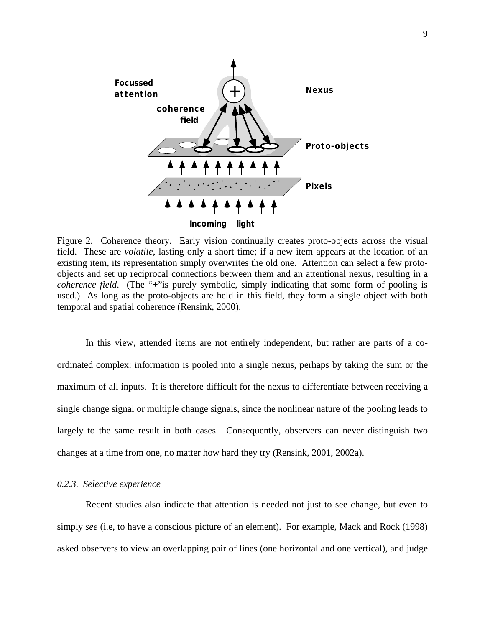

Figure 2. Coherence theory. Early vision continually creates proto-objects across the visual field. These are *volatile*, lasting only a short time; if a new item appears at the location of an existing item, its representation simply overwrites the old one. Attention can select a few protoobjects and set up reciprocal connections between them and an attentional nexus, resulting in a *coherence field.* (The "+"is purely symbolic, simply indicating that some form of pooling is used.) As long as the proto-objects are held in this field, they form a single object with both temporal and spatial coherence (Rensink, 2000).

In this view, attended items are not entirely independent, but rather are parts of a coordinated complex: information is pooled into a single nexus, perhaps by taking the sum or the maximum of all inputs. It is therefore difficult for the nexus to differentiate between receiving a single change signal or multiple change signals, since the nonlinear nature of the pooling leads to largely to the same result in both cases. Consequently, observers can never distinguish two changes at a time from one, no matter how hard they try (Rensink, 2001, 2002a).

#### *0.2.3. Selective experience*

Recent studies also indicate that attention is needed not just to see change, but even to simply *see* (i.e, to have a conscious picture of an element). For example, Mack and Rock (1998) asked observers to view an overlapping pair of lines (one horizontal and one vertical), and judge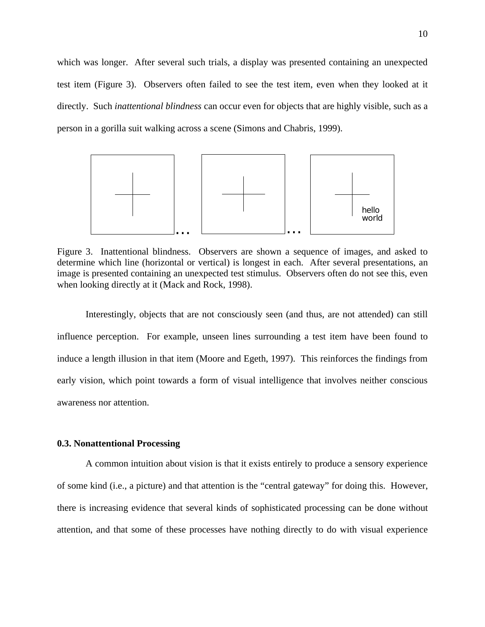which was longer. After several such trials, a display was presented containing an unexpected test item (Figure 3). Observers often failed to see the test item, even when they looked at it directly. Such *inattentional blindness* can occur even for objects that are highly visible, such as a person in a gorilla suit walking across a scene (Simons and Chabris, 1999).



Figure 3. Inattentional blindness. Observers are shown a sequence of images, and asked to determine which line (horizontal or vertical) is longest in each. After several presentations, an image is presented containing an unexpected test stimulus. Observers often do not see this, even when looking directly at it (Mack and Rock, 1998).

Interestingly, objects that are not consciously seen (and thus, are not attended) can still influence perception. For example, unseen lines surrounding a test item have been found to induce a length illusion in that item (Moore and Egeth, 1997). This reinforces the findings from early vision, which point towards a form of visual intelligence that involves neither conscious awareness nor attention.

#### **0.3. Nonattentional Processing**

A common intuition about vision is that it exists entirely to produce a sensory experience of some kind (i.e., a picture) and that attention is the "central gateway" for doing this. However, there is increasing evidence that several kinds of sophisticated processing can be done without attention, and that some of these processes have nothing directly to do with visual experience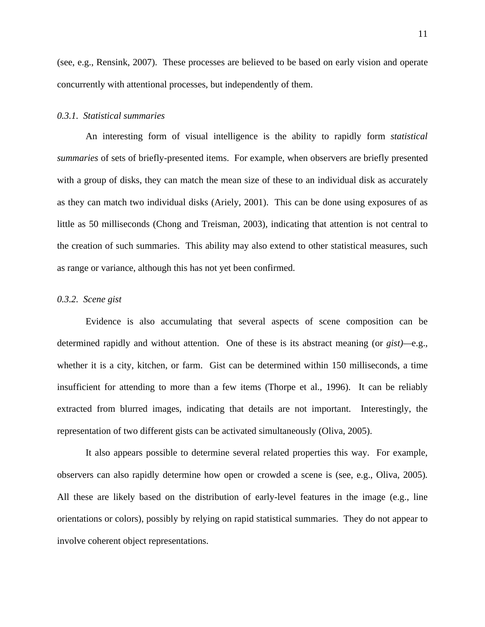(see, e.g., Rensink, 2007). These processes are believed to be based on early vision and operate concurrently with attentional processes, but independently of them.

#### *0.3.1. Statistical summaries*

An interesting form of visual intelligence is the ability to rapidly form *statistical summaries* of sets of briefly-presented items. For example, when observers are briefly presented with a group of disks, they can match the mean size of these to an individual disk as accurately as they can match two individual disks (Ariely, 2001). This can be done using exposures of as little as 50 milliseconds (Chong and Treisman, 2003), indicating that attention is not central to the creation of such summaries. This ability may also extend to other statistical measures, such as range or variance, although this has not yet been confirmed.

#### *0.3.2. Scene gist*

Evidence is also accumulating that several aspects of scene composition can be determined rapidly and without attention. One of these is its abstract meaning (or *gist)—*e.g., whether it is a city, kitchen, or farm. Gist can be determined within 150 milliseconds, a time insufficient for attending to more than a few items (Thorpe et al., 1996). It can be reliably extracted from blurred images, indicating that details are not important. Interestingly, the representation of two different gists can be activated simultaneously (Oliva, 2005).

It also appears possible to determine several related properties this way. For example, observers can also rapidly determine how open or crowded a scene is (see, e.g., Oliva, 2005)*.* All these are likely based on the distribution of early-level features in the image (e.g., line orientations or colors), possibly by relying on rapid statistical summaries. They do not appear to involve coherent object representations.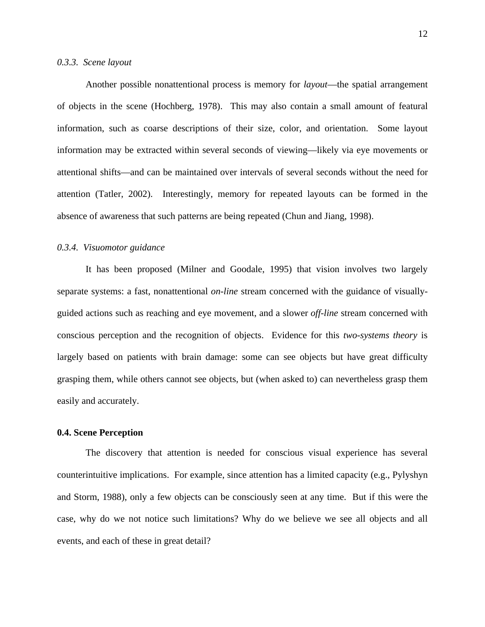#### *0.3.3. Scene layout*

Another possible nonattentional process is memory for *layout*—the spatial arrangement of objects in the scene (Hochberg, 1978). This may also contain a small amount of featural information, such as coarse descriptions of their size, color, and orientation. Some layout information may be extracted within several seconds of viewing—likely via eye movements or attentional shifts—and can be maintained over intervals of several seconds without the need for attention (Tatler, 2002). Interestingly, memory for repeated layouts can be formed in the absence of awareness that such patterns are being repeated (Chun and Jiang, 1998).

#### *0.3.4. Visuomotor guidance*

It has been proposed (Milner and Goodale, 1995) that vision involves two largely separate systems: a fast, nonattentional *on-line* stream concerned with the guidance of visuallyguided actions such as reaching and eye movement, and a slower *off-line* stream concerned with conscious perception and the recognition of objects. Evidence for this *two-systems theory* is largely based on patients with brain damage: some can see objects but have great difficulty grasping them, while others cannot see objects, but (when asked to) can nevertheless grasp them easily and accurately.

#### **0.4. Scene Perception**

The discovery that attention is needed for conscious visual experience has several counterintuitive implications. For example, since attention has a limited capacity (e.g., Pylyshyn and Storm, 1988), only a few objects can be consciously seen at any time. But if this were the case, why do we not notice such limitations? Why do we believe we see all objects and all events, and each of these in great detail?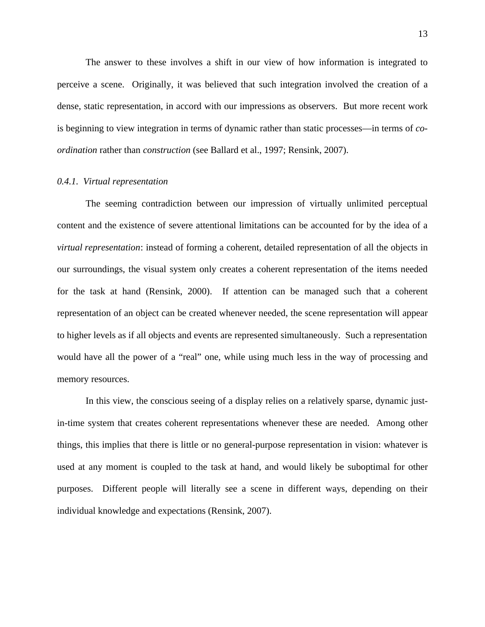The answer to these involves a shift in our view of how information is integrated to perceive a scene. Originally, it was believed that such integration involved the creation of a dense, static representation, in accord with our impressions as observers. But more recent work is beginning to view integration in terms of dynamic rather than static processes—in terms of *coordination* rather than *construction* (see Ballard et al., 1997; Rensink, 2007).

#### *0.4.1. Virtual representation*

The seeming contradiction between our impression of virtually unlimited perceptual content and the existence of severe attentional limitations can be accounted for by the idea of a *virtual representation*: instead of forming a coherent, detailed representation of all the objects in our surroundings, the visual system only creates a coherent representation of the items needed for the task at hand (Rensink, 2000). If attention can be managed such that a coherent representation of an object can be created whenever needed, the scene representation will appear to higher levels as if all objects and events are represented simultaneously. Such a representation would have all the power of a "real" one, while using much less in the way of processing and memory resources.

In this view, the conscious seeing of a display relies on a relatively sparse, dynamic justin-time system that creates coherent representations whenever these are needed. Among other things, this implies that there is little or no general-purpose representation in vision: whatever is used at any moment is coupled to the task at hand, and would likely be suboptimal for other purposes. Different people will literally see a scene in different ways, depending on their individual knowledge and expectations (Rensink, 2007).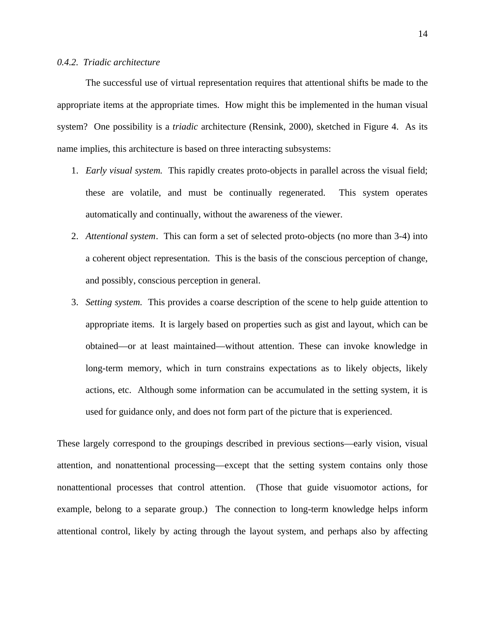#### *0.4.2. Triadic architecture*

The successful use of virtual representation requires that attentional shifts be made to the appropriate items at the appropriate times. How might this be implemented in the human visual system? One possibility is a *triadic* architecture (Rensink, 2000), sketched in Figure 4. As its name implies, this architecture is based on three interacting subsystems:

- 1. *Early visual system.* This rapidly creates proto-objects in parallel across the visual field; these are volatile, and must be continually regenerated. This system operates automatically and continually, without the awareness of the viewer.
- 2. *Attentional system*. This can form a set of selected proto-objects (no more than 3-4) into a coherent object representation. This is the basis of the conscious perception of change, and possibly, conscious perception in general.
- 3. *Setting system.* This provides a coarse description of the scene to help guide attention to appropriate items. It is largely based on properties such as gist and layout, which can be obtained—or at least maintained—without attention. These can invoke knowledge in long-term memory, which in turn constrains expectations as to likely objects, likely actions, etc. Although some information can be accumulated in the setting system, it is used for guidance only, and does not form part of the picture that is experienced.

These largely correspond to the groupings described in previous sections—early vision, visual attention, and nonattentional processing—except that the setting system contains only those nonattentional processes that control attention. (Those that guide visuomotor actions, for example, belong to a separate group.) The connection to long-term knowledge helps inform attentional control, likely by acting through the layout system, and perhaps also by affecting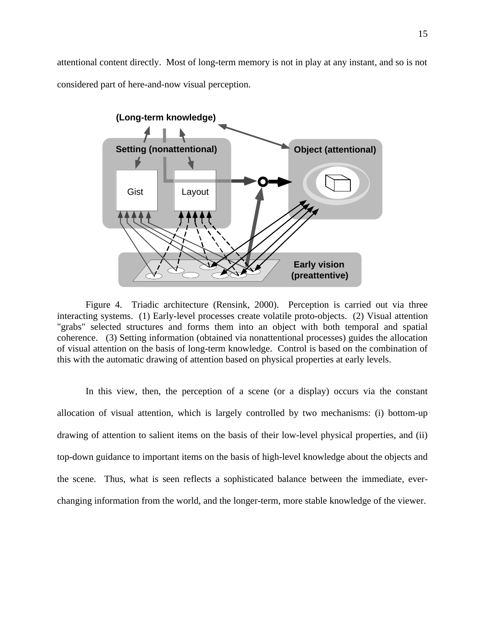attentional content directly. Most of long-term memory is not in play at any instant, and so is not considered part of here-and-now visual perception.



Figure 4. Triadic architecture (Rensink, 2000). Perception is carried out via three interacting systems. (1) Early-level processes create volatile proto-objects. (2) Visual attention "grabs" selected structures and forms them into an object with both temporal and spatial coherence. (3) Setting information (obtained via nonattentional processes) guides the allocation of visual attention on the basis of long-term knowledge. Control is based on the combination of this with the automatic drawing of attention based on physical properties at early levels.

In this view, then, the perception of a scene (or a display) occurs via the constant allocation of visual attention, which is largely controlled by two mechanisms: (i) bottom-up drawing of attention to salient items on the basis of their low-level physical properties, and (ii) top-down guidance to important items on the basis of high-level knowledge about the objects and the scene. Thus, what is seen reflects a sophisticated balance between the immediate, everchanging information from the world, and the longer-term, more stable knowledge of the viewer.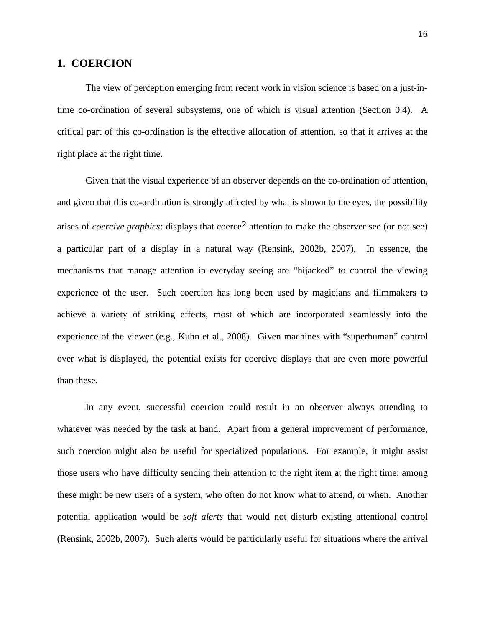## **1. COERCION**

The view of perception emerging from recent work in vision science is based on a just-intime co-ordination of several subsystems, one of which is visual attention (Section 0.4). A critical part of this co-ordination is the effective allocation of attention, so that it arrives at the right place at the right time.

Given that the visual experience of an observer depends on the co-ordination of attention, and given that this co-ordination is strongly affected by what is shown to the eyes, the possibility arises of *coercive graphics*: displays that coerce2 attention to make the observer see (or not see) a particular part of a display in a natural way (Rensink, 2002b, 2007). In essence, the mechanisms that manage attention in everyday seeing are "hijacked" to control the viewing experience of the user. Such coercion has long been used by magicians and filmmakers to achieve a variety of striking effects, most of which are incorporated seamlessly into the experience of the viewer (e.g., Kuhn et al., 2008). Given machines with "superhuman" control over what is displayed, the potential exists for coercive displays that are even more powerful than these.

In any event, successful coercion could result in an observer always attending to whatever was needed by the task at hand. Apart from a general improvement of performance, such coercion might also be useful for specialized populations. For example, it might assist those users who have difficulty sending their attention to the right item at the right time; among these might be new users of a system, who often do not know what to attend, or when. Another potential application would be *soft alerts* that would not disturb existing attentional control (Rensink, 2002b, 2007). Such alerts would be particularly useful for situations where the arrival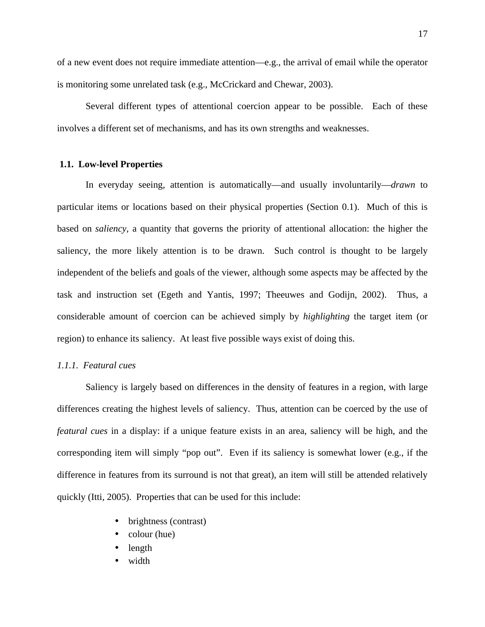of a new event does not require immediate attention—e.g., the arrival of email while the operator is monitoring some unrelated task (e.g., McCrickard and Chewar, 2003).

Several different types of attentional coercion appear to be possible. Each of these involves a different set of mechanisms, and has its own strengths and weaknesses.

#### **1.1. Low-level Properties**

In everyday seeing, attention is automatically—and usually involuntarily—*drawn* to particular items or locations based on their physical properties (Section 0.1). Much of this is based on *saliency*, a quantity that governs the priority of attentional allocation: the higher the saliency, the more likely attention is to be drawn. Such control is thought to be largely independent of the beliefs and goals of the viewer, although some aspects may be affected by the task and instruction set (Egeth and Yantis, 1997; Theeuwes and Godijn, 2002). Thus, a considerable amount of coercion can be achieved simply by *highlighting* the target item (or region) to enhance its saliency. At least five possible ways exist of doing this.

## *1.1.1. Featural cues*

Saliency is largely based on differences in the density of features in a region, with large differences creating the highest levels of saliency. Thus, attention can be coerced by the use of *featural cues* in a display: if a unique feature exists in an area, saliency will be high, and the corresponding item will simply "pop out". Even if its saliency is somewhat lower (e.g., if the difference in features from its surround is not that great), an item will still be attended relatively quickly (Itti, 2005). Properties that can be used for this include:

- brightness (contrast)
- colour (hue)
- length
- width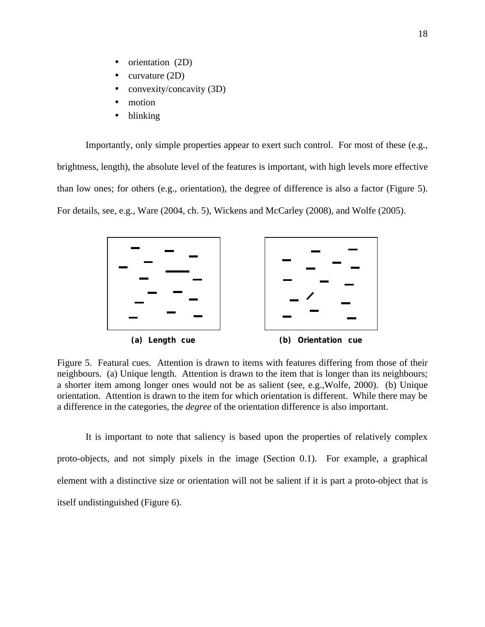- orientation (2D)
- curvature  $(2D)$
- convexity/concavity (3D)
- motion
- blinking

Importantly, only simple properties appear to exert such control. For most of these (e.g., brightness, length), the absolute level of the features is important, with high levels more effective than low ones; for others (e.g., orientation), the degree of difference is also a factor (Figure 5). For details, see, e.g., Ware (2004, ch. 5), Wickens and McCarley (2008), and Wolfe (2005).



Figure 5. Featural cues. Attention is drawn to items with features differing from those of their neighbours. (a) Unique length. Attention is drawn to the item that is longer than its neighbours; a shorter item among longer ones would not be as salient (see, e.g.,Wolfe, 2000). (b) Unique orientation. Attention is drawn to the item for which orientation is different. While there may be a difference in the categories, the *degree* of the orientation difference is also important.

It is important to note that saliency is based upon the properties of relatively complex proto-objects, and not simply pixels in the image (Section 0.1). For example, a graphical element with a distinctive size or orientation will not be salient if it is part a proto-object that is itself undistinguished (Figure 6).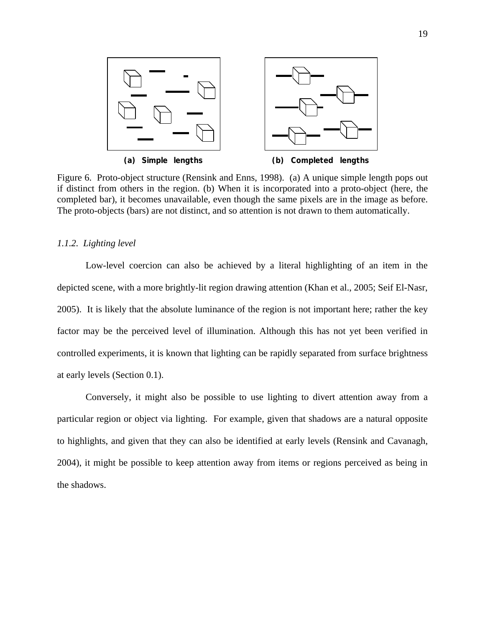

Figure 6. Proto-object structure (Rensink and Enns, 1998). (a) A unique simple length pops out if distinct from others in the region. (b) When it is incorporated into a proto-object (here, the completed bar), it becomes unavailable, even though the same pixels are in the image as before. The proto-objects (bars) are not distinct, and so attention is not drawn to them automatically.

## *1.1.2. Lighting level*

Low-level coercion can also be achieved by a literal highlighting of an item in the depicted scene, with a more brightly-lit region drawing attention (Khan et al., 2005; Seif El-Nasr, 2005). It is likely that the absolute luminance of the region is not important here; rather the key factor may be the perceived level of illumination. Although this has not yet been verified in controlled experiments, it is known that lighting can be rapidly separated from surface brightness at early levels (Section 0.1).

Conversely, it might also be possible to use lighting to divert attention away from a particular region or object via lighting. For example, given that shadows are a natural opposite to highlights, and given that they can also be identified at early levels (Rensink and Cavanagh, 2004), it might be possible to keep attention away from items or regions perceived as being in the shadows.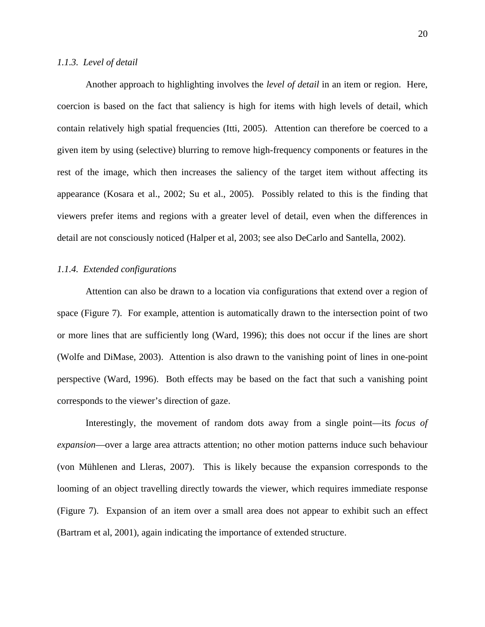#### *1.1.3. Level of detail*

Another approach to highlighting involves the *level of detail* in an item or region. Here, coercion is based on the fact that saliency is high for items with high levels of detail, which contain relatively high spatial frequencies (Itti, 2005). Attention can therefore be coerced to a given item by using (selective) blurring to remove high-frequency components or features in the rest of the image, which then increases the saliency of the target item without affecting its appearance (Kosara et al., 2002; Su et al., 2005). Possibly related to this is the finding that viewers prefer items and regions with a greater level of detail, even when the differences in detail are not consciously noticed (Halper et al, 2003; see also DeCarlo and Santella, 2002).

## *1.1.4. Extended configurations*

Attention can also be drawn to a location via configurations that extend over a region of space (Figure 7). For example, attention is automatically drawn to the intersection point of two or more lines that are sufficiently long (Ward, 1996); this does not occur if the lines are short (Wolfe and DiMase, 2003). Attention is also drawn to the vanishing point of lines in one-point perspective (Ward, 1996). Both effects may be based on the fact that such a vanishing point corresponds to the viewer's direction of gaze.

Interestingly, the movement of random dots away from a single point—its *focus of expansion*—over a large area attracts attention; no other motion patterns induce such behaviour (von Mühlenen and Lleras, 2007). This is likely because the expansion corresponds to the looming of an object travelling directly towards the viewer, which requires immediate response (Figure 7). Expansion of an item over a small area does not appear to exhibit such an effect (Bartram et al, 2001), again indicating the importance of extended structure.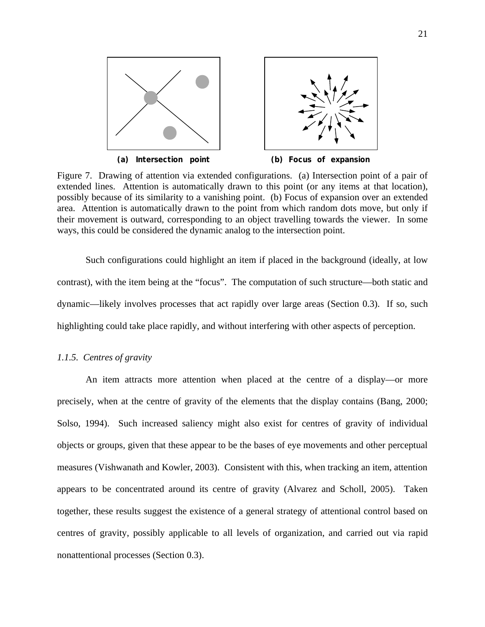

Figure 7. Drawing of attention via extended configurations. (a) Intersection point of a pair of extended lines. Attention is automatically drawn to this point (or any items at that location), possibly because of its similarity to a vanishing point. (b) Focus of expansion over an extended area. Attention is automatically drawn to the point from which random dots move, but only if their movement is outward, corresponding to an object travelling towards the viewer. In some ways, this could be considered the dynamic analog to the intersection point.

Such configurations could highlight an item if placed in the background (ideally, at low contrast), with the item being at the "focus". The computation of such structure—both static and dynamic—likely involves processes that act rapidly over large areas (Section 0.3). If so, such highlighting could take place rapidly, and without interfering with other aspects of perception.

## *1.1.5. Centres of gravity*

An item attracts more attention when placed at the centre of a display—or more precisely, when at the centre of gravity of the elements that the display contains (Bang, 2000; Solso, 1994). Such increased saliency might also exist for centres of gravity of individual objects or groups, given that these appear to be the bases of eye movements and other perceptual measures (Vishwanath and Kowler, 2003). Consistent with this, when tracking an item, attention appears to be concentrated around its centre of gravity (Alvarez and Scholl, 2005). Taken together, these results suggest the existence of a general strategy of attentional control based on centres of gravity, possibly applicable to all levels of organization, and carried out via rapid nonattentional processes (Section 0.3).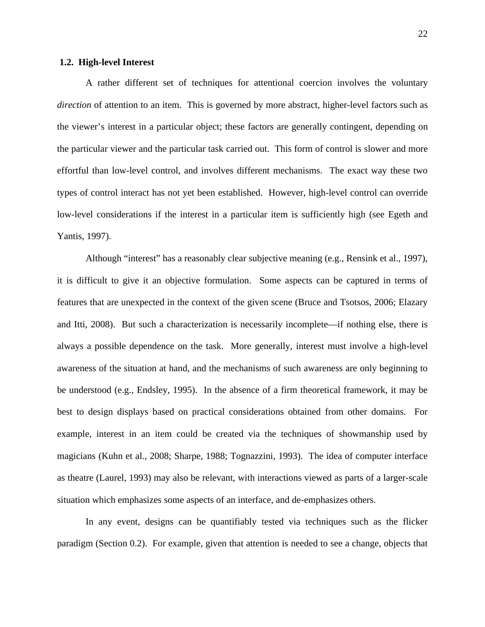#### **1.2. High-level Interest**

A rather different set of techniques for attentional coercion involves the voluntary *direction* of attention to an item. This is governed by more abstract, higher-level factors such as the viewer's interest in a particular object; these factors are generally contingent, depending on the particular viewer and the particular task carried out. This form of control is slower and more effortful than low-level control, and involves different mechanisms. The exact way these two types of control interact has not yet been established. However, high-level control can override low-level considerations if the interest in a particular item is sufficiently high (see Egeth and Yantis, 1997).

Although "interest" has a reasonably clear subjective meaning (e.g., Rensink et al., 1997), it is difficult to give it an objective formulation. Some aspects can be captured in terms of features that are unexpected in the context of the given scene (Bruce and Tsotsos, 2006; Elazary and Itti, 2008). But such a characterization is necessarily incomplete—if nothing else, there is always a possible dependence on the task. More generally, interest must involve a high-level awareness of the situation at hand, and the mechanisms of such awareness are only beginning to be understood (e.g., Endsley, 1995). In the absence of a firm theoretical framework, it may be best to design displays based on practical considerations obtained from other domains. For example, interest in an item could be created via the techniques of showmanship used by magicians (Kuhn et al., 2008; Sharpe, 1988; Tognazzini, 1993). The idea of computer interface as theatre (Laurel, 1993) may also be relevant, with interactions viewed as parts of a larger-scale situation which emphasizes some aspects of an interface, and de-emphasizes others.

In any event, designs can be quantifiably tested via techniques such as the flicker paradigm (Section 0.2). For example, given that attention is needed to see a change, objects that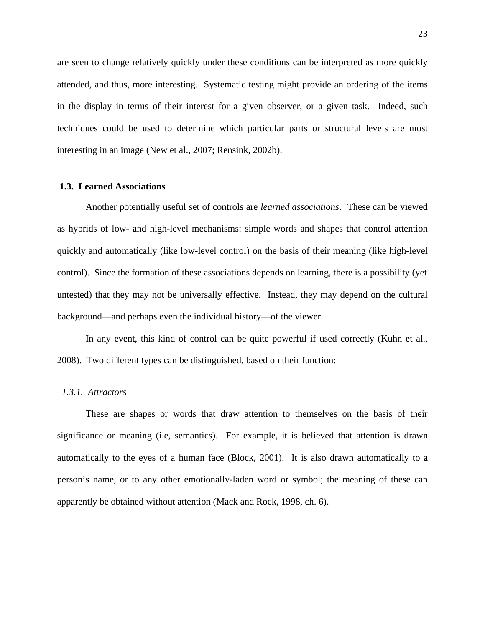are seen to change relatively quickly under these conditions can be interpreted as more quickly attended, and thus, more interesting. Systematic testing might provide an ordering of the items in the display in terms of their interest for a given observer, or a given task. Indeed, such techniques could be used to determine which particular parts or structural levels are most interesting in an image (New et al., 2007; Rensink, 2002b).

#### **1.3. Learned Associations**

Another potentially useful set of controls are *learned associations*. These can be viewed as hybrids of low- and high-level mechanisms: simple words and shapes that control attention quickly and automatically (like low-level control) on the basis of their meaning (like high-level control). Since the formation of these associations depends on learning, there is a possibility (yet untested) that they may not be universally effective. Instead, they may depend on the cultural background—and perhaps even the individual history—of the viewer.

In any event, this kind of control can be quite powerful if used correctly (Kuhn et al., 2008). Two different types can be distinguished, based on their function:

## *1.3.1. Attractors*

These are shapes or words that draw attention to themselves on the basis of their significance or meaning (i.e, semantics). For example, it is believed that attention is drawn automatically to the eyes of a human face (Block, 2001). It is also drawn automatically to a person's name, or to any other emotionally-laden word or symbol; the meaning of these can apparently be obtained without attention (Mack and Rock, 1998, ch. 6).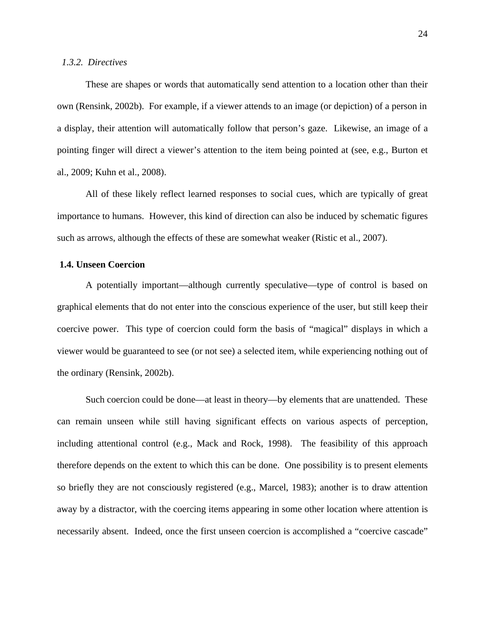#### *1.3.2. Directives*

These are shapes or words that automatically send attention to a location other than their own (Rensink, 2002b). For example, if a viewer attends to an image (or depiction) of a person in a display, their attention will automatically follow that person's gaze. Likewise, an image of a pointing finger will direct a viewer's attention to the item being pointed at (see, e.g., Burton et al., 2009; Kuhn et al., 2008).

All of these likely reflect learned responses to social cues, which are typically of great importance to humans. However, this kind of direction can also be induced by schematic figures such as arrows, although the effects of these are somewhat weaker (Ristic et al., 2007).

#### **1.4. Unseen Coercion**

A potentially important—although currently speculative—type of control is based on graphical elements that do not enter into the conscious experience of the user, but still keep their coercive power. This type of coercion could form the basis of "magical" displays in which a viewer would be guaranteed to see (or not see) a selected item, while experiencing nothing out of the ordinary (Rensink, 2002b).

Such coercion could be done—at least in theory—by elements that are unattended. These can remain unseen while still having significant effects on various aspects of perception, including attentional control (e.g., Mack and Rock, 1998). The feasibility of this approach therefore depends on the extent to which this can be done. One possibility is to present elements so briefly they are not consciously registered (e.g., Marcel, 1983); another is to draw attention away by a distractor, with the coercing items appearing in some other location where attention is necessarily absent. Indeed, once the first unseen coercion is accomplished a "coercive cascade"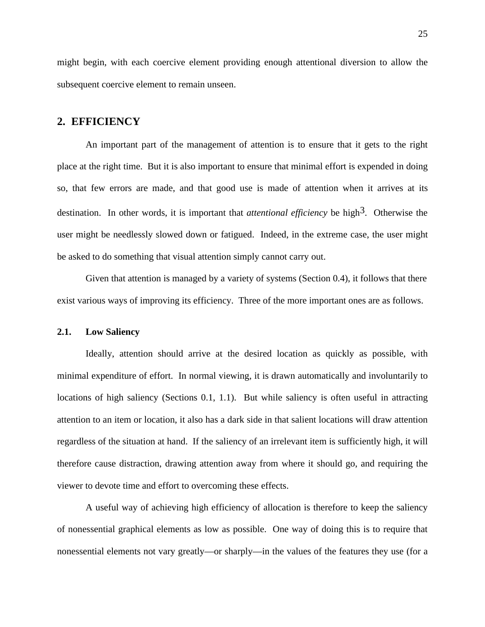might begin, with each coercive element providing enough attentional diversion to allow the subsequent coercive element to remain unseen.

## **2. EFFICIENCY**

An important part of the management of attention is to ensure that it gets to the right place at the right time. But it is also important to ensure that minimal effort is expended in doing so, that few errors are made, and that good use is made of attention when it arrives at its destination. In other words, it is important that *attentional efficiency* be high<sup>3</sup>. Otherwise the user might be needlessly slowed down or fatigued. Indeed, in the extreme case, the user might be asked to do something that visual attention simply cannot carry out.

Given that attention is managed by a variety of systems (Section 0.4), it follows that there exist various ways of improving its efficiency. Three of the more important ones are as follows.

## **2.1. Low Saliency**

Ideally, attention should arrive at the desired location as quickly as possible, with minimal expenditure of effort. In normal viewing, it is drawn automatically and involuntarily to locations of high saliency (Sections 0.1, 1.1). But while saliency is often useful in attracting attention to an item or location, it also has a dark side in that salient locations will draw attention regardless of the situation at hand. If the saliency of an irrelevant item is sufficiently high, it will therefore cause distraction, drawing attention away from where it should go, and requiring the viewer to devote time and effort to overcoming these effects.

A useful way of achieving high efficiency of allocation is therefore to keep the saliency of nonessential graphical elements as low as possible. One way of doing this is to require that nonessential elements not vary greatly—or sharply—in the values of the features they use (for a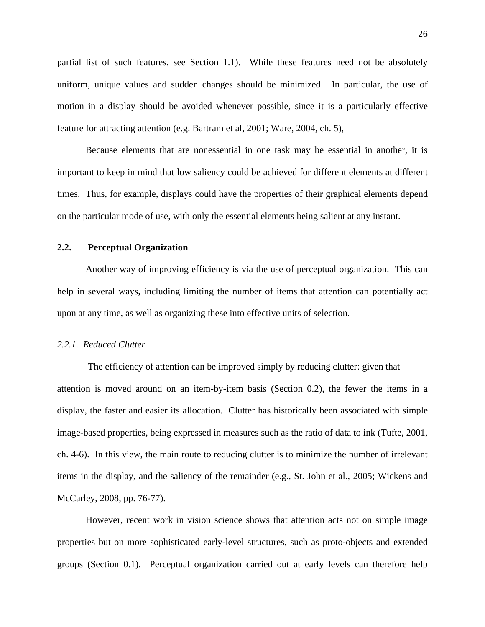partial list of such features, see Section 1.1). While these features need not be absolutely uniform, unique values and sudden changes should be minimized. In particular, the use of motion in a display should be avoided whenever possible, since it is a particularly effective feature for attracting attention (e.g. Bartram et al, 2001; Ware, 2004, ch. 5),

Because elements that are nonessential in one task may be essential in another, it is important to keep in mind that low saliency could be achieved for different elements at different times. Thus, for example, displays could have the properties of their graphical elements depend on the particular mode of use, with only the essential elements being salient at any instant.

#### **2.2. Perceptual Organization**

Another way of improving efficiency is via the use of perceptual organization. This can help in several ways, including limiting the number of items that attention can potentially act upon at any time, as well as organizing these into effective units of selection.

#### *2.2.1. Reduced Clutter*

 The efficiency of attention can be improved simply by reducing clutter: given that attention is moved around on an item-by-item basis (Section 0.2), the fewer the items in a display, the faster and easier its allocation. Clutter has historically been associated with simple image-based properties, being expressed in measures such as the ratio of data to ink (Tufte, 2001, ch. 4-6). In this view, the main route to reducing clutter is to minimize the number of irrelevant items in the display, and the saliency of the remainder (e.g., St. John et al., 2005; Wickens and McCarley, 2008, pp. 76-77).

However, recent work in vision science shows that attention acts not on simple image properties but on more sophisticated early-level structures, such as proto-objects and extended groups (Section 0.1). Perceptual organization carried out at early levels can therefore help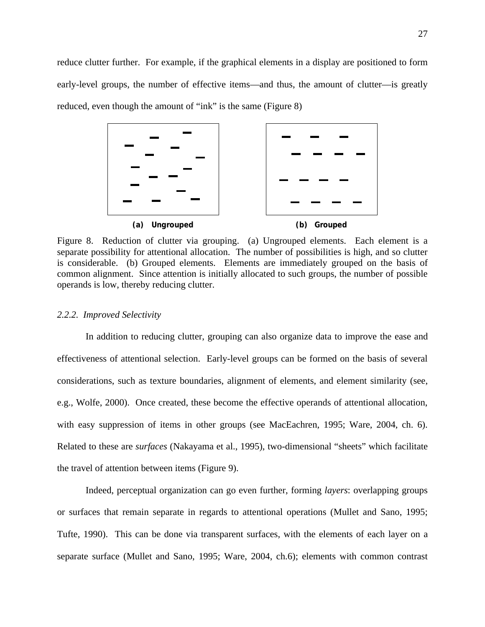reduce clutter further. For example, if the graphical elements in a display are positioned to form early-level groups, the number of effective items—and thus, the amount of clutter—is greatly reduced, even though the amount of "ink" is the same (Figure 8)



Figure 8. Reduction of clutter via grouping. (a) Ungrouped elements. Each element is a separate possibility for attentional allocation. The number of possibilities is high, and so clutter is considerable. (b) Grouped elements. Elements are immediately grouped on the basis of common alignment. Since attention is initially allocated to such groups, the number of possible operands is low, thereby reducing clutter.

## *2.2.2. Improved Selectivity*

In addition to reducing clutter, grouping can also organize data to improve the ease and effectiveness of attentional selection. Early-level groups can be formed on the basis of several considerations, such as texture boundaries, alignment of elements, and element similarity (see, e.g., Wolfe, 2000). Once created, these become the effective operands of attentional allocation, with easy suppression of items in other groups (see MacEachren, 1995; Ware, 2004, ch. 6). Related to these are *surfaces* (Nakayama et al., 1995), two-dimensional "sheets" which facilitate the travel of attention between items (Figure 9).

Indeed, perceptual organization can go even further, forming *layers*: overlapping groups or surfaces that remain separate in regards to attentional operations (Mullet and Sano, 1995; Tufte, 1990). This can be done via transparent surfaces, with the elements of each layer on a separate surface (Mullet and Sano, 1995; Ware, 2004, ch.6); elements with common contrast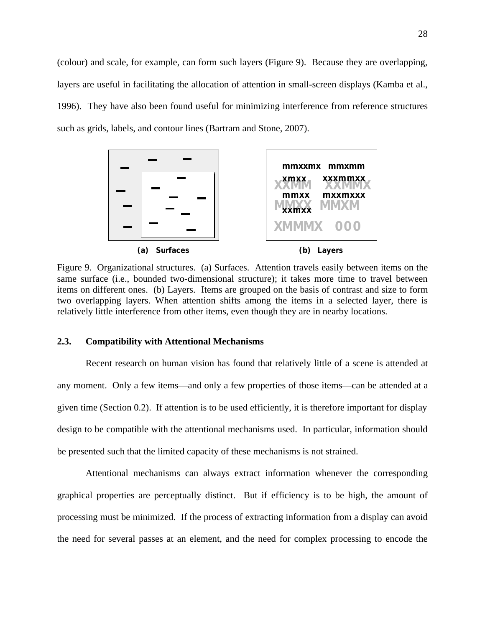(colour) and scale, for example, can form such layers (Figure 9). Because they are overlapping, layers are useful in facilitating the allocation of attention in small-screen displays (Kamba et al., 1996). They have also been found useful for minimizing interference from reference structures such as grids, labels, and contour lines (Bartram and Stone, 2007).



Figure 9. Organizational structures. (a) Surfaces. Attention travels easily between items on the same surface (i.e., bounded two-dimensional structure); it takes more time to travel between items on different ones. (b) Layers. Items are grouped on the basis of contrast and size to form two overlapping layers. When attention shifts among the items in a selected layer, there is relatively little interference from other items, even though they are in nearby locations.

### **2.3. Compatibility with Attentional Mechanisms**

Recent research on human vision has found that relatively little of a scene is attended at any moment. Only a few items—and only a few properties of those items—can be attended at a given time (Section 0.2). If attention is to be used efficiently, it is therefore important for display design to be compatible with the attentional mechanisms used. In particular, information should be presented such that the limited capacity of these mechanisms is not strained.

Attentional mechanisms can always extract information whenever the corresponding graphical properties are perceptually distinct. But if efficiency is to be high, the amount of processing must be minimized. If the process of extracting information from a display can avoid the need for several passes at an element, and the need for complex processing to encode the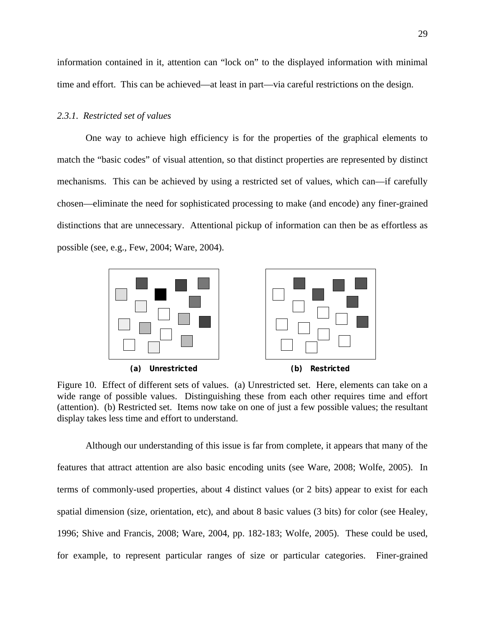information contained in it, attention can "lock on" to the displayed information with minimal time and effort. This can be achieved—at least in part—via careful restrictions on the design.

#### *2.3.1. Restricted set of values*

One way to achieve high efficiency is for the properties of the graphical elements to match the "basic codes" of visual attention, so that distinct properties are represented by distinct mechanisms. This can be achieved by using a restricted set of values, which can—if carefully chosen—eliminate the need for sophisticated processing to make (and encode) any finer-grained distinctions that are unnecessary. Attentional pickup of information can then be as effortless as possible (see, e.g., Few, 2004; Ware, 2004).



Figure 10. Effect of different sets of values. (a) Unrestricted set. Here, elements can take on a wide range of possible values. Distinguishing these from each other requires time and effort (attention). (b) Restricted set. Items now take on one of just a few possible values; the resultant display takes less time and effort to understand.

Although our understanding of this issue is far from complete, it appears that many of the features that attract attention are also basic encoding units (see Ware, 2008; Wolfe, 2005). In terms of commonly-used properties, about 4 distinct values (or 2 bits) appear to exist for each spatial dimension (size, orientation, etc), and about 8 basic values (3 bits) for color (see Healey, 1996; Shive and Francis, 2008; Ware, 2004, pp. 182-183; Wolfe, 2005). These could be used, for example, to represent particular ranges of size or particular categories. Finer-grained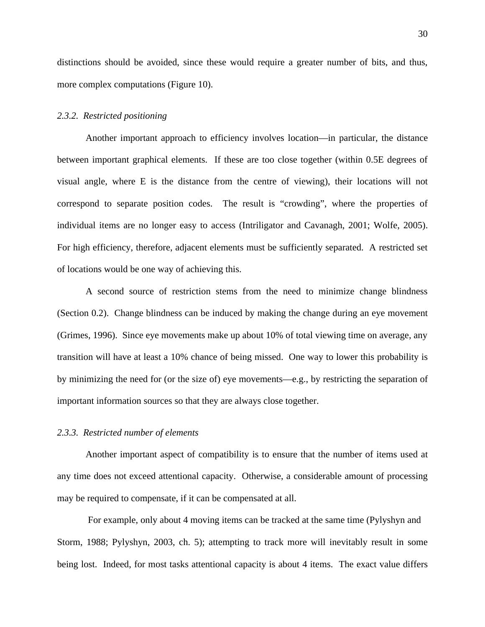distinctions should be avoided, since these would require a greater number of bits, and thus, more complex computations (Figure 10).

#### *2.3.2. Restricted positioning*

Another important approach to efficiency involves location—in particular, the distance between important graphical elements. If these are too close together (within 0.5E degrees of visual angle, where E is the distance from the centre of viewing), their locations will not correspond to separate position codes. The result is "crowding", where the properties of individual items are no longer easy to access (Intriligator and Cavanagh, 2001; Wolfe, 2005). For high efficiency, therefore, adjacent elements must be sufficiently separated. A restricted set of locations would be one way of achieving this.

A second source of restriction stems from the need to minimize change blindness (Section 0.2). Change blindness can be induced by making the change during an eye movement (Grimes, 1996). Since eye movements make up about 10% of total viewing time on average, any transition will have at least a 10% chance of being missed. One way to lower this probability is by minimizing the need for (or the size of) eye movements—e.g., by restricting the separation of important information sources so that they are always close together.

## *2.3.3. Restricted number of elements*

Another important aspect of compatibility is to ensure that the number of items used at any time does not exceed attentional capacity. Otherwise, a considerable amount of processing may be required to compensate, if it can be compensated at all.

 For example, only about 4 moving items can be tracked at the same time (Pylyshyn and Storm, 1988; Pylyshyn, 2003, ch. 5); attempting to track more will inevitably result in some being lost. Indeed, for most tasks attentional capacity is about 4 items. The exact value differs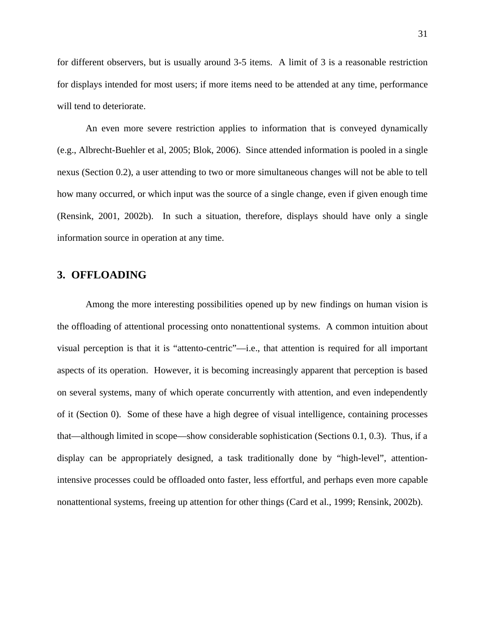for different observers, but is usually around 3-5 items. A limit of 3 is a reasonable restriction for displays intended for most users; if more items need to be attended at any time, performance will tend to deteriorate.

An even more severe restriction applies to information that is conveyed dynamically (e.g., Albrecht-Buehler et al, 2005; Blok, 2006). Since attended information is pooled in a single nexus (Section 0.2), a user attending to two or more simultaneous changes will not be able to tell how many occurred, or which input was the source of a single change, even if given enough time (Rensink, 2001, 2002b). In such a situation, therefore, displays should have only a single information source in operation at any time.

## **3. OFFLOADING**

Among the more interesting possibilities opened up by new findings on human vision is the offloading of attentional processing onto nonattentional systems. A common intuition about visual perception is that it is "attento-centric"—i.e., that attention is required for all important aspects of its operation. However, it is becoming increasingly apparent that perception is based on several systems, many of which operate concurrently with attention, and even independently of it (Section 0). Some of these have a high degree of visual intelligence, containing processes that—although limited in scope—show considerable sophistication (Sections 0.1, 0.3). Thus, if a display can be appropriately designed, a task traditionally done by "high-level", attentionintensive processes could be offloaded onto faster, less effortful, and perhaps even more capable nonattentional systems, freeing up attention for other things (Card et al., 1999; Rensink, 2002b).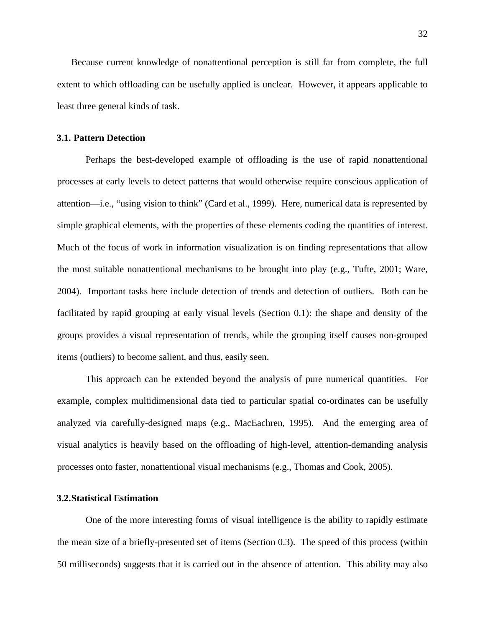Because current knowledge of nonattentional perception is still far from complete, the full extent to which offloading can be usefully applied is unclear. However, it appears applicable to least three general kinds of task.

#### **3.1. Pattern Detection**

Perhaps the best-developed example of offloading is the use of rapid nonattentional processes at early levels to detect patterns that would otherwise require conscious application of attention—i.e., "using vision to think" (Card et al., 1999). Here, numerical data is represented by simple graphical elements, with the properties of these elements coding the quantities of interest. Much of the focus of work in information visualization is on finding representations that allow the most suitable nonattentional mechanisms to be brought into play (e.g., Tufte, 2001; Ware, 2004). Important tasks here include detection of trends and detection of outliers. Both can be facilitated by rapid grouping at early visual levels (Section 0.1): the shape and density of the groups provides a visual representation of trends, while the grouping itself causes non-grouped items (outliers) to become salient, and thus, easily seen.

This approach can be extended beyond the analysis of pure numerical quantities. For example, complex multidimensional data tied to particular spatial co-ordinates can be usefully analyzed via carefully-designed maps (e.g., MacEachren, 1995). And the emerging area of visual analytics is heavily based on the offloading of high-level, attention-demanding analysis processes onto faster, nonattentional visual mechanisms (e.g., Thomas and Cook, 2005).

#### **3.2.Statistical Estimation**

One of the more interesting forms of visual intelligence is the ability to rapidly estimate the mean size of a briefly-presented set of items (Section 0.3). The speed of this process (within 50 milliseconds) suggests that it is carried out in the absence of attention. This ability may also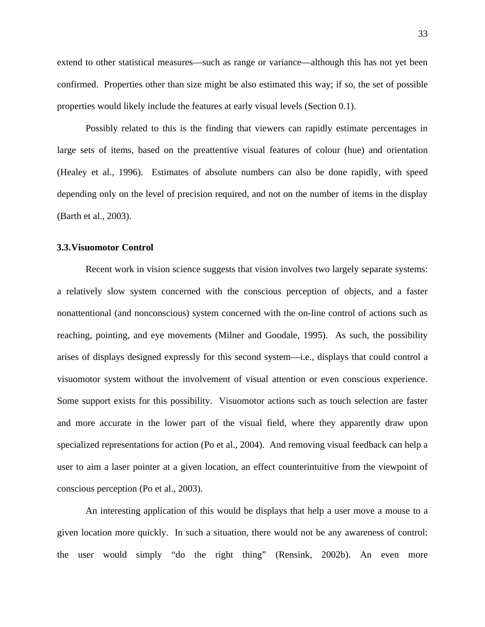extend to other statistical measures—such as range or variance—although this has not yet been confirmed. Properties other than size might be also estimated this way; if so, the set of possible properties would likely include the features at early visual levels (Section 0.1).

Possibly related to this is the finding that viewers can rapidly estimate percentages in large sets of items, based on the preattentive visual features of colour (hue) and orientation (Healey et al., 1996). Estimates of absolute numbers can also be done rapidly, with speed depending only on the level of precision required, and not on the number of items in the display (Barth et al., 2003).

#### **3.3.Visuomotor Control**

Recent work in vision science suggests that vision involves two largely separate systems: a relatively slow system concerned with the conscious perception of objects, and a faster nonattentional (and nonconscious) system concerned with the on-line control of actions such as reaching, pointing, and eye movements (Milner and Goodale, 1995). As such, the possibility arises of displays designed expressly for this second system—i.e., displays that could control a visuomotor system without the involvement of visual attention or even conscious experience. Some support exists for this possibility. Visuomotor actions such as touch selection are faster and more accurate in the lower part of the visual field, where they apparently draw upon specialized representations for action (Po et al., 2004). And removing visual feedback can help a user to aim a laser pointer at a given location, an effect counterintuitive from the viewpoint of conscious perception (Po et al., 2003).

An interesting application of this would be displays that help a user move a mouse to a given location more quickly. In such a situation, there would not be any awareness of control: the user would simply "do the right thing" (Rensink, 2002b). An even more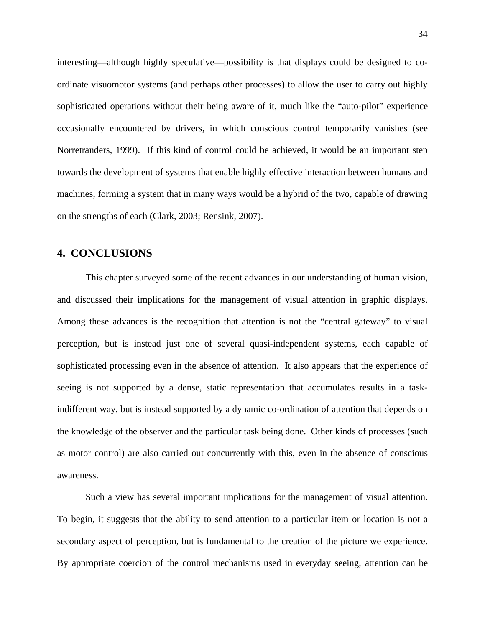interesting—although highly speculative—possibility is that displays could be designed to coordinate visuomotor systems (and perhaps other processes) to allow the user to carry out highly sophisticated operations without their being aware of it, much like the "auto-pilot" experience occasionally encountered by drivers, in which conscious control temporarily vanishes (see Norretranders, 1999). If this kind of control could be achieved, it would be an important step towards the development of systems that enable highly effective interaction between humans and machines, forming a system that in many ways would be a hybrid of the two, capable of drawing on the strengths of each (Clark, 2003; Rensink, 2007).

## **4. CONCLUSIONS**

This chapter surveyed some of the recent advances in our understanding of human vision, and discussed their implications for the management of visual attention in graphic displays. Among these advances is the recognition that attention is not the "central gateway" to visual perception, but is instead just one of several quasi-independent systems, each capable of sophisticated processing even in the absence of attention. It also appears that the experience of seeing is not supported by a dense, static representation that accumulates results in a taskindifferent way, but is instead supported by a dynamic co-ordination of attention that depends on the knowledge of the observer and the particular task being done. Other kinds of processes (such as motor control) are also carried out concurrently with this, even in the absence of conscious awareness.

Such a view has several important implications for the management of visual attention. To begin, it suggests that the ability to send attention to a particular item or location is not a secondary aspect of perception, but is fundamental to the creation of the picture we experience. By appropriate coercion of the control mechanisms used in everyday seeing, attention can be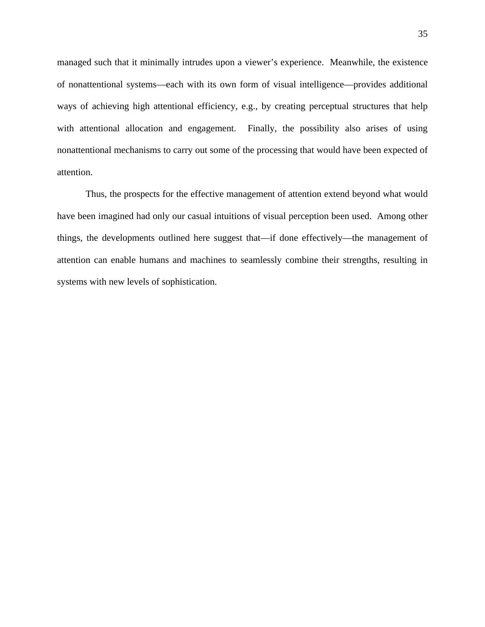managed such that it minimally intrudes upon a viewer's experience. Meanwhile, the existence of nonattentional systems—each with its own form of visual intelligence—provides additional ways of achieving high attentional efficiency, e.g., by creating perceptual structures that help with attentional allocation and engagement. Finally, the possibility also arises of using nonattentional mechanisms to carry out some of the processing that would have been expected of attention.

Thus, the prospects for the effective management of attention extend beyond what would have been imagined had only our casual intuitions of visual perception been used. Among other things, the developments outlined here suggest that—if done effectively—the management of attention can enable humans and machines to seamlessly combine their strengths, resulting in systems with new levels of sophistication.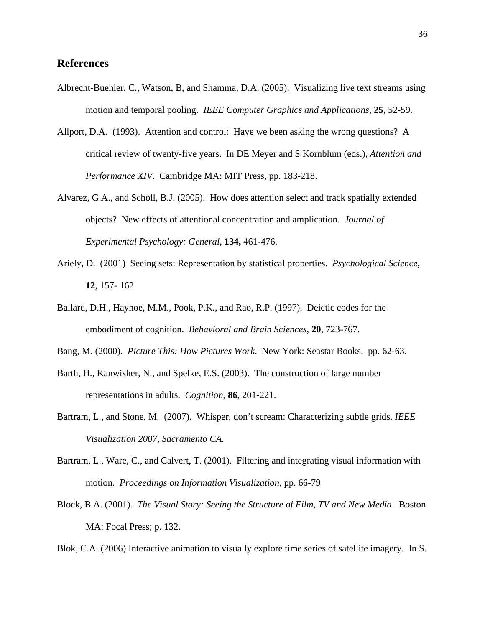## **References**

- Albrecht-Buehler, C., Watson, B, and Shamma, D.A. (2005). Visualizing live text streams using motion and temporal pooling. *IEEE Computer Graphics and Applications,* **25**, 52-59.
- Allport, D.A. (1993). Attention and control: Have we been asking the wrong questions? A critical review of twenty-five years. In DE Meyer and S Kornblum (eds.), *Attention and Performance XIV*. Cambridge MA: MIT Press, pp. 183-218.
- Alvarez, G.A., and Scholl, B.J. (2005). How does attention select and track spatially extended objects? New effects of attentional concentration and amplication. *Journal of Experimental Psychology: General*, **134,** 461-476.
- Ariely, D. (2001) Seeing sets: Representation by statistical properties. *Psychological Science*, **12**, 157- 162
- Ballard, D.H., Hayhoe, M.M., Pook, P.K., and Rao, R.P. (1997). Deictic codes for the embodiment of cognition. *Behavioral and Brain Sciences*, **20**, 723-767.
- Bang, M. (2000). *Picture This: How Pictures Work*. New York: Seastar Books. pp. 62-63.
- Barth, H., Kanwisher, N., and Spelke, E.S. (2003). The construction of large number representations in adults. *Cognition*, **86**, 201-221.
- Bartram, L., and Stone, M. (2007). Whisper, don't scream: Characterizing subtle grids. *IEEE Visualization 2007, Sacramento CA.*
- Bartram, L., Ware, C., and Calvert, T. (2001). Filtering and integrating visual information with motion*. Proceedings on Information Visualization,* pp. 66-79
- Block, B.A. (2001). *The Visual Story: Seeing the Structure of Film, TV and New Media*. Boston MA: Focal Press; p. 132.

Blok, C.A. (2006) Interactive animation to visually explore time series of satellite imagery. In S.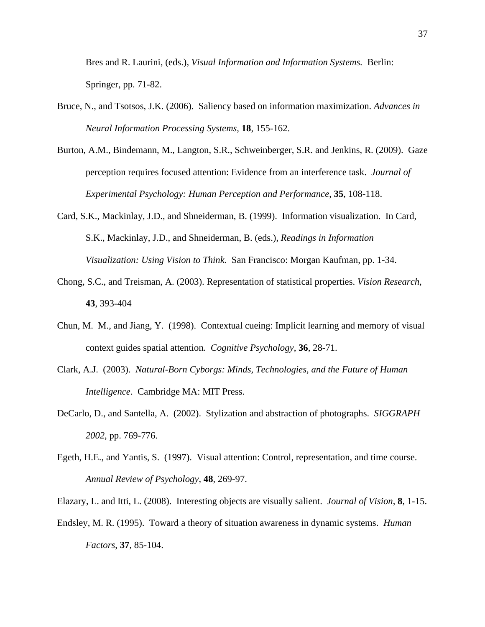Bres and R. Laurini, (eds.), *Visual Information and Information Systems.* Berlin: Springer, pp. 71-82.

- Bruce, N., and Tsotsos, J.K. (2006). Saliency based on information maximization. *Advances in Neural Information Processing Systems*, **18**, 155-162.
- Burton, A.M., Bindemann, M., Langton, S.R., Schweinberger, S.R. and Jenkins, R. (2009). Gaze perception requires focused attention: Evidence from an interference task. *Journal of Experimental Psychology: Human Perception and Performance*, **35**, 108-118.
- Card, S.K., Mackinlay, J.D., and Shneiderman, B. (1999). Information visualization. In Card, S.K., Mackinlay, J.D., and Shneiderman, B. (eds.), *Readings in Information Visualization: Using Vision to Think*. San Francisco: Morgan Kaufman, pp. 1-34.
- Chong, S.C., and Treisman, A. (2003). Representation of statistical properties. *Vision Research*, **43**, 393-404
- Chun, M. M., and Jiang, Y. (1998). Contextual cueing: Implicit learning and memory of visual context guides spatial attention. *Cognitive Psychology*, **36**, 28-71.
- Clark, A.J. (2003). *Natural-Born Cyborgs: Minds, Technologies, and the Future of Human Intelligence*. Cambridge MA: MIT Press.
- DeCarlo, D., and Santella, A. (2002). Stylization and abstraction of photographs. *SIGGRAPH 2002*, pp. 769-776.
- Egeth, H.E., and Yantis, S. (1997). Visual attention: Control, representation, and time course. *Annual Review of Psychology*, **48**, 269-97.

Elazary, L. and Itti, L. (2008). Interesting objects are visually salient. *Journal of Vision*, **8**, 1-15.

Endsley, M. R. (1995). Toward a theory of situation awareness in dynamic systems. *Human Factors*, **37**, 85-104.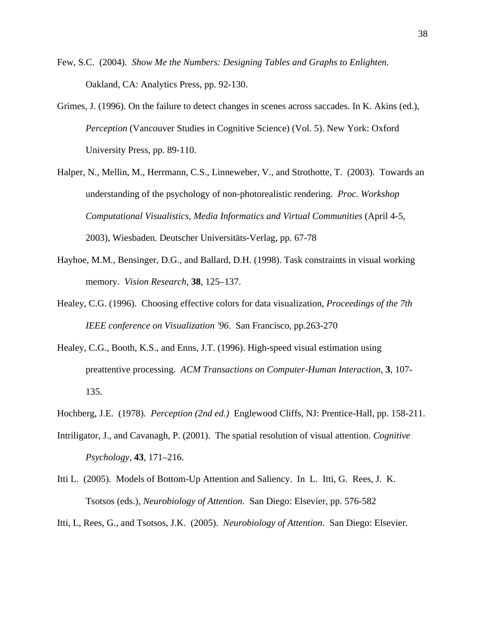- Few, S.C. (2004). *Show Me the Numbers: Designing Tables and Graphs to Enlighten*. Oakland, CA: Analytics Press, pp. 92-130.
- Grimes, J. (1996). On the failure to detect changes in scenes across saccades. In K. Akins (ed.), *Perception* (Vancouver Studies in Cognitive Science) (Vol. 5). New York: Oxford University Press, pp. 89-110.
- Halper, N., Mellin, M., Herrmann, C.S., Linneweber, V., and Strothotte, T. (2003). Towards an understanding of the psychology of non-photorealistic rendering. *Proc. Workshop Computational Visualistics, Media Informatics and Virtual Communities* (April 4-5, 2003), Wiesbaden. Deutscher Universitäts-Verlag, pp. 67-78
- Hayhoe, M.M., Bensinger, D.G., and Ballard, D.H. (1998). Task constraints in visual working memory. *Vision Research*, **38**, 125–137.
- Healey, C.G. (1996). Choosing effective colors for data visualization, *Proceedings of the 7th IEEE conference on Visualization '96*. San Francisco, pp.263-270
- Healey, C.G., Booth, K.S., and Enns, J.T. (1996). High-speed visual estimation using preattentive processing. *ACM Transactions on Computer-Human Interaction*, **3**, 107- 135.
- Hochberg, J.E. (1978). *Perception (2nd ed.)* Englewood Cliffs, NJ: Prentice-Hall, pp. 158-211.
- Intriligator, J., and Cavanagh, P. (2001). The spatial resolution of visual attention. *Cognitive Psychology*, **43**, 171–216.
- Itti L. (2005). Models of Bottom-Up Attention and Saliency. In L. Itti, G. Rees, J. K. Tsotsos (eds.), *Neurobiology of Attention*. San Diego: Elsevier, pp. 576-582
- Itti, L, Rees, G., and Tsotsos, J.K. (2005). *Neurobiology of Attention*. San Diego: Elsevier.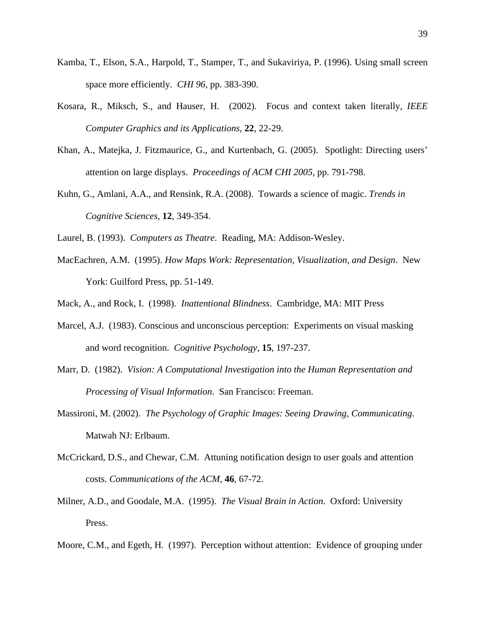- Kamba, T., Elson, S.A., Harpold, T., Stamper, T., and Sukaviriya, P. (1996). Using small screen space more efficiently. *CHI 96*, pp. 383-390.
- Kosara, R., Miksch, S., and Hauser, H. (2002). Focus and context taken literally, *IEEE Computer Graphics and its Applications,* **22**, 22-29.
- Khan, A., Matejka, J. Fitzmaurice, G., and Kurtenbach, G. (2005). Spotlight: Directing users' attention on large displays. *Proceedings of ACM CHI 2005*, pp. 791-798.
- Kuhn, G., Amlani, A.A., and Rensink, R.A. (2008). Towards a science of magic. *Trends in Cognitive Sciences*, **12**, 349-354.
- Laurel, B. (1993). *Computers as Theatre*. Reading, MA: Addison-Wesley.
- MacEachren, A.M. (1995). *How Maps Work: Representation, Visualization, and Design*. New York: Guilford Press, pp. 51-149.
- Mack, A., and Rock, I. (1998). *Inattentional Blindness*. Cambridge, MA: MIT Press
- Marcel, A.J. (1983). Conscious and unconscious perception: Experiments on visual masking and word recognition. *Cognitive Psychology*, **15**, 197-237.
- Marr, D. (1982). *Vision: A Computational Investigation into the Human Representation and Processing of Visual Information*. San Francisco: Freeman.
- Massironi, M. (2002). *The Psychology of Graphic Images: Seeing Drawing, Communicating*. Matwah NJ: Erlbaum.
- McCrickard, D.S., and Chewar, C.M. Attuning notification design to user goals and attention costs. *Communications of the ACM*, **46**, 67-72.
- Milner, A.D., and Goodale, M.A. (1995). *The Visual Brain in Action*. Oxford: University Press.
- Moore, C.M., and Egeth, H. (1997). Perception without attention: Evidence of grouping under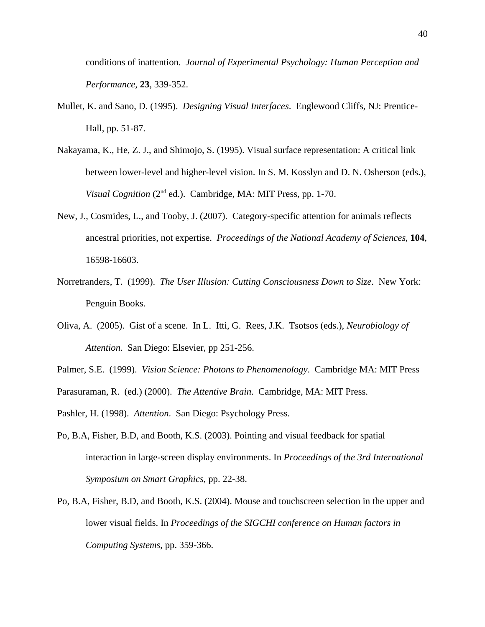conditions of inattention. *Journal of Experimental Psychology: Human Perception and Performance,* **23**, 339-352.

- Mullet, K. and Sano, D. (1995). *Designing Visual Interfaces*. Englewood Cliffs, NJ: Prentice-Hall, pp. 51-87.
- Nakayama, K., He, Z. J., and Shimojo, S. (1995). Visual surface representation: A critical link between lower-level and higher-level vision. In S. M. Kosslyn and D. N. Osherson (eds.), *Visual Cognition* (2<sup>nd</sup> ed.). Cambridge, MA: MIT Press, pp. 1-70.
- New, J., Cosmides, L., and Tooby, J. (2007). Category-specific attention for animals reflects ancestral priorities, not expertise. *Proceedings of the National Academy of Sciences*, **104**, 16598-16603.
- Norretranders, T. (1999). *The User Illusion: Cutting Consciousness Down to Size*. New York: Penguin Books.
- Oliva, A. (2005). Gist of a scene. In L. Itti, G. Rees, J.K. Tsotsos (eds.), *Neurobiology of Attention*. San Diego: Elsevier, pp 251-256.
- Palmer, S.E. (1999). *Vision Science: Photons to Phenomenology*. Cambridge MA: MIT Press
- Parasuraman, R. (ed.) (2000). *The Attentive Brain*. Cambridge, MA: MIT Press.
- Pashler, H. (1998). *Attention*. San Diego: Psychology Press.
- Po, B.A, Fisher, B.D, and Booth, K.S. (2003). Pointing and visual feedback for spatial interaction in large-screen display environments. In *Proceedings of the 3rd International Symposium on Smart Graphics*, pp. 22-38.
- Po, B.A, Fisher, B.D, and Booth, K.S. (2004). Mouse and touchscreen selection in the upper and lower visual fields. In *Proceedings of the SIGCHI conference on Human factors in Computing Systems*, pp. 359-366.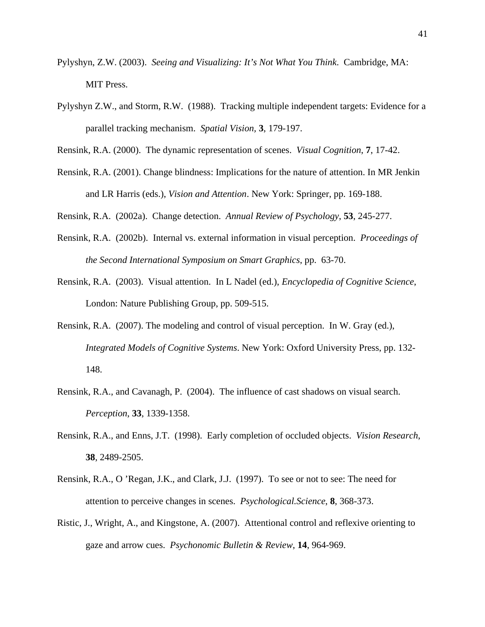- Pylyshyn, Z.W. (2003). *Seeing and Visualizing: It's Not What You Think*. Cambridge, MA: MIT Press.
- Pylyshyn Z.W., and Storm, R.W. (1988). Tracking multiple independent targets: Evidence for a parallel tracking mechanism. *Spatial Vision,* **3**, 179-197.
- Rensink, R.A. (2000). The dynamic representation of scenes. *Visual Cognition*, **7**, 17-42.
- Rensink, R.A. (2001). Change blindness: Implications for the nature of attention. In MR Jenkin and LR Harris (eds.), *Vision and Attention*. New York: Springer, pp. 169-188.
- Rensink, R.A. (2002a). Change detection. *Annual Review of Psychology*, **53**, 245-277.
- Rensink, R.A. (2002b). Internal vs. external information in visual perception. *Proceedings of the Second International Symposium on Smart Graphics*, pp. 63-70.
- Rensink, R.A. (2003). Visual attention. In L Nadel (ed.), *Encyclopedia of Cognitive Science*, London: Nature Publishing Group, pp. 509-515.
- Rensink, R.A. (2007). The modeling and control of visual perception. In W. Gray (ed.), *Integrated Models of Cognitive Systems*. New York: Oxford University Press, pp. 132- 148.
- Rensink, R.A., and Cavanagh, P. (2004). The influence of cast shadows on visual search. *Perception*, **33**, 1339-1358.
- Rensink, R.A., and Enns, J.T. (1998). Early completion of occluded objects. *Vision Research*, **38**, 2489-2505.
- Rensink, R.A., O 'Regan, J.K., and Clark, J.J. (1997). To see or not to see: The need for attention to perceive changes in scenes. *Psychological.Science*, **8**, 368-373.
- Ristic, J., Wright, A., and Kingstone, A. (2007). Attentional control and reflexive orienting to gaze and arrow cues. *Psychonomic Bulletin & Review*, **14**, 964-969.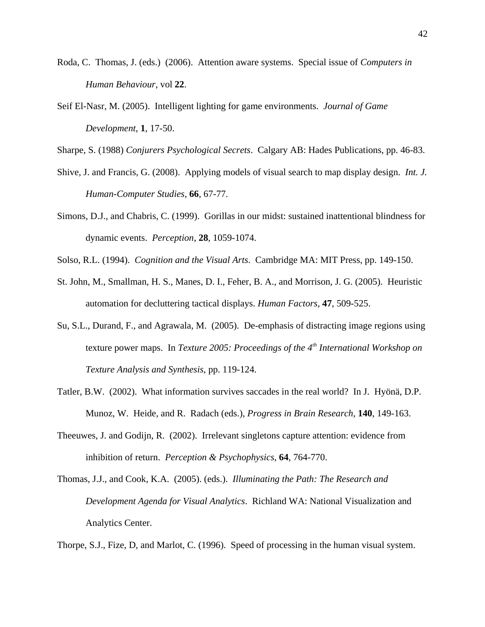- Roda, C. Thomas, J. (eds.) (2006). Attention aware systems. Special issue of *Computers in Human Behaviour*, vol **22**.
- Seif El-Nasr, M. (2005). Intelligent lighting for game environments. *Journal of Game Development*, **1**, 17-50.

Sharpe, S. (1988) *Conjurers Psychological Secrets*. Calgary AB: Hades Publications, pp. 46-83.

- Shive, J. and Francis, G. (2008). Applying models of visual search to map display design. *Int. J. Human-Computer Studies*, **66**, 67-77.
- Simons, D.J., and Chabris, C. (1999). Gorillas in our midst: sustained inattentional blindness for dynamic events. *Perception*, **28**, 1059-1074.
- Solso, R.L. (1994). *Cognition and the Visual Arts*. Cambridge MA: MIT Press, pp. 149-150.
- St. John, M., Smallman, H. S., Manes, D. I., Feher, B. A., and Morrison, J. G. (2005). Heuristic automation for decluttering tactical displays. *Human Factors*, **47**, 509-525.
- Su, S.L., Durand, F., and Agrawala, M. (2005). De-emphasis of distracting image regions using texture power maps. In *Texture 2005: Proceedings of the 4th International Workshop on Texture Analysis and Synthesis*, pp. 119-124.
- Tatler, B.W. (2002). What information survives saccades in the real world? In J. Hyönä, D.P. Munoz, W. Heide, and R. Radach (eds.), *Progress in Brain Research*, **140**, 149-163.
- Theeuwes, J. and Godijn, R. (2002). Irrelevant singletons capture attention: evidence from inhibition of return. *Perception & Psychophysics*, **64**, 764-770.
- Thomas, J.J., and Cook, K.A. (2005). (eds.). *Illuminating the Path: The Research and Development Agenda for Visual Analytics*. Richland WA: National Visualization and Analytics Center.

Thorpe, S.J., Fize, D, and Marlot, C. (1996). Speed of processing in the human visual system.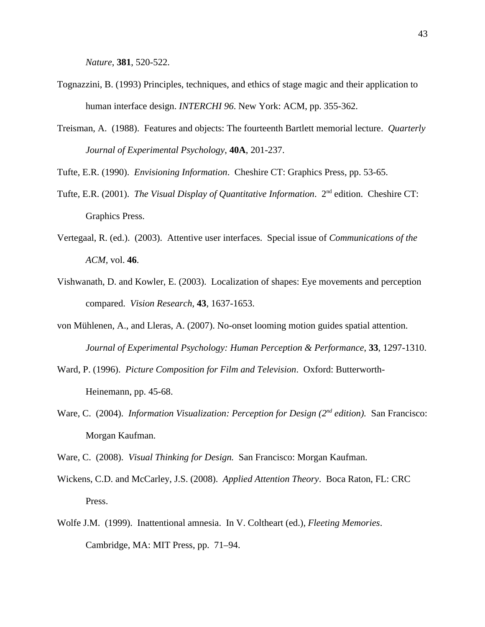*Nature*, **381**, 520-522.

- Tognazzini, B. (1993) Principles, techniques, and ethics of stage magic and their application to human interface design. *INTERCHI 96*. New York: ACM, pp. 355-362.
- Treisman, A. (1988). Features and objects: The fourteenth Bartlett memorial lecture. *Quarterly Journal of Experimental Psychology*, **40A**, 201-237.

Tufte, E.R. (1990). *Envisioning Information*. Cheshire CT: Graphics Press, pp. 53-65.

- Tufte, E.R. (2001). *The Visual Display of Quantitative Information*. 2nd edition. Cheshire CT: Graphics Press.
- Vertegaal, R. (ed.). (2003). Attentive user interfaces. Special issue of *Communications of the ACM,* vol. **46**.
- Vishwanath, D. and Kowler, E. (2003). Localization of shapes: Eye movements and perception compared. *Vision Research*, **43**, 1637-1653.
- von Mühlenen, A., and Lleras, A. (2007). No-onset looming motion guides spatial attention. *Journal of Experimental Psychology: Human Perception & Performance*, **33**, 1297-1310.
- Ward, P. (1996). *Picture Composition for Film and Television*. Oxford: Butterworth-Heinemann, pp. 45-68.
- Ware, C. (2004). *Information Visualization: Perception for Design (2nd edition).* San Francisco: Morgan Kaufman.

Ware, C. (2008). *Visual Thinking for Design.* San Francisco: Morgan Kaufman.

- Wickens, C.D. and McCarley, J.S. (2008). *Applied Attention Theory*. Boca Raton, FL: CRC Press.
- Wolfe J.M. (1999). Inattentional amnesia. In V. Coltheart (ed.), *Fleeting Memories*. Cambridge, MA: MIT Press, pp. 71–94.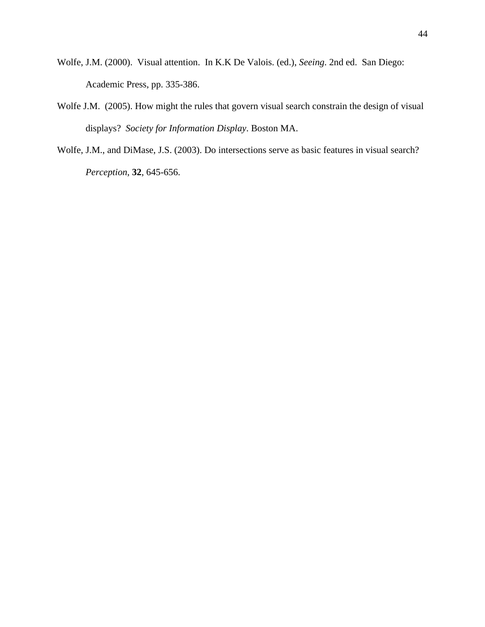- Wolfe, J.M. (2000). Visual attention. In K.K De Valois. (ed.), *Seeing*. 2nd ed. San Diego: Academic Press, pp. 335-386.
- Wolfe J.M. (2005). How might the rules that govern visual search constrain the design of visual displays? *Society for Information Display*. Boston MA.
- Wolfe, J.M., and DiMase, J.S. (2003). Do intersections serve as basic features in visual search? *Perception*, **32**, 645-656.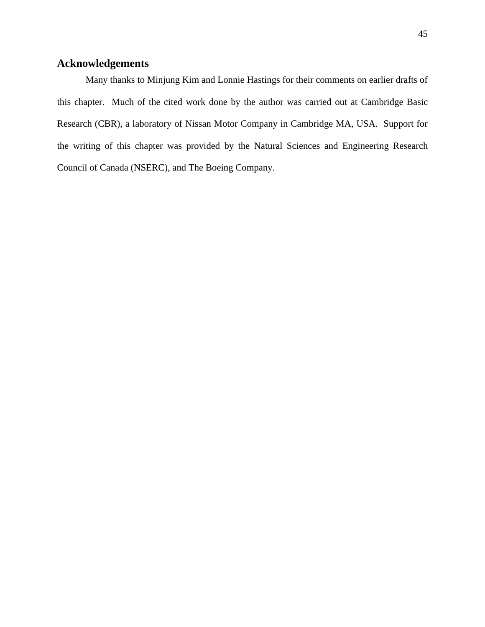# **Acknowledgements**

Many thanks to Minjung Kim and Lonnie Hastings for their comments on earlier drafts of this chapter. Much of the cited work done by the author was carried out at Cambridge Basic Research (CBR), a laboratory of Nissan Motor Company in Cambridge MA, USA. Support for the writing of this chapter was provided by the Natural Sciences and Engineering Research Council of Canada (NSERC), and The Boeing Company.